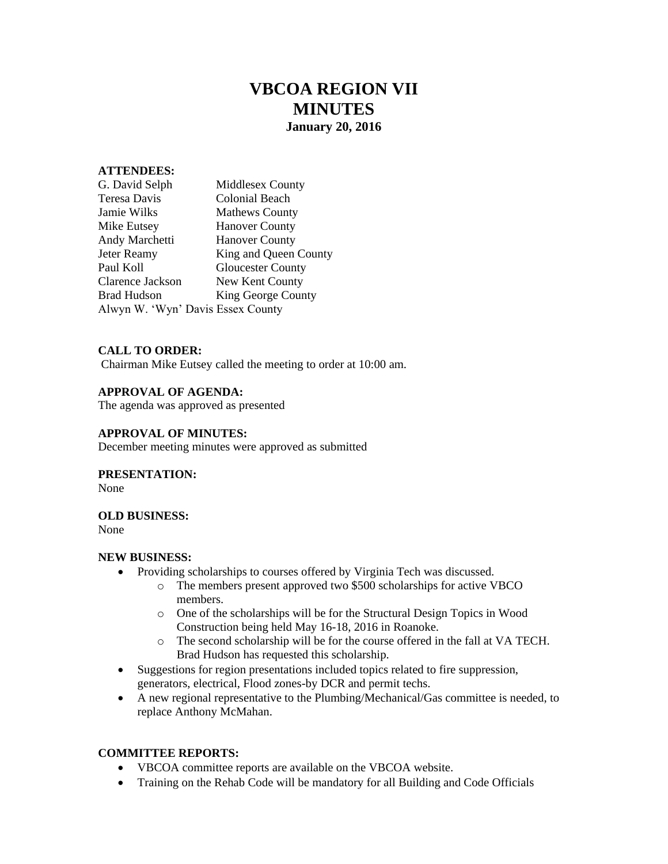# **VBCOA REGION VII MINUTES January 20, 2016**

## **ATTENDEES:**

| G. David Selph                    | Middlesex County         |
|-----------------------------------|--------------------------|
| Teresa Davis                      | <b>Colonial Beach</b>    |
| Jamie Wilks                       | <b>Mathews County</b>    |
| Mike Eutsey                       | <b>Hanover County</b>    |
| <b>Andy Marchetti</b>             | <b>Hanover County</b>    |
| Jeter Reamy                       | King and Queen County    |
| Paul Koll                         | <b>Gloucester County</b> |
| Clarence Jackson                  | New Kent County          |
| Brad Hudson                       | King George County       |
| Alwyn W. 'Wyn' Davis Essex County |                          |

## **CALL TO ORDER:**

Chairman Mike Eutsey called the meeting to order at 10:00 am.

## **APPROVAL OF AGENDA:**

The agenda was approved as presented

#### **APPROVAL OF MINUTES:**

December meeting minutes were approved as submitted

#### **PRESENTATION:**

None

## **OLD BUSINESS:**

None

#### **NEW BUSINESS:**

- Providing scholarships to courses offered by Virginia Tech was discussed.
	- o The members present approved two \$500 scholarships for active VBCO members.
	- o One of the scholarships will be for the Structural Design Topics in Wood Construction being held May 16-18, 2016 in Roanoke.
	- o The second scholarship will be for the course offered in the fall at VA TECH. Brad Hudson has requested this scholarship.
- Suggestions for region presentations included topics related to fire suppression, generators, electrical, Flood zones-by DCR and permit techs.
- A new regional representative to the Plumbing/Mechanical/Gas committee is needed, to replace Anthony McMahan.

## **COMMITTEE REPORTS:**

- VBCOA committee reports are available on the VBCOA website.
- Training on the Rehab Code will be mandatory for all Building and Code Officials